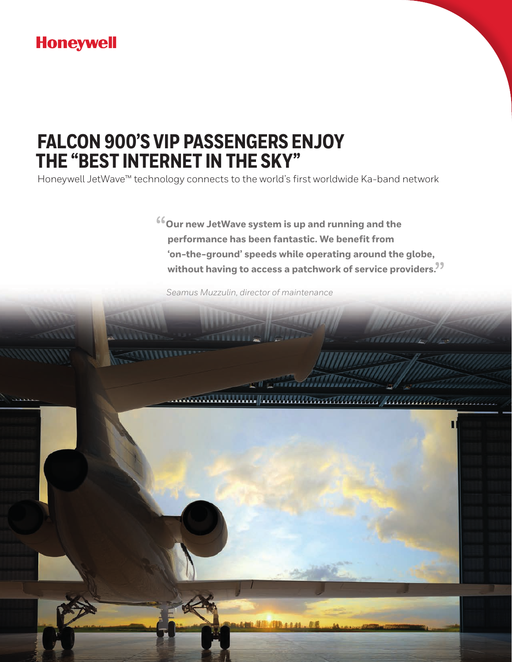# **Honeywell**

# **FALCON 900'S VIP PASSENGERS ENJOY THE "BEST INTERNET IN THE SKY"**

Honeywell JetWave™ technology connects to the world's first worldwide Ka-band network

**COUT NEW JET UP:** All the performance has been fantastic. We benefit from **performance has been fantastic. We benefit from 'on-the-ground' speeds while operating around the globe, without having to access a patchwork of service providers.** "

**CARRAGEREERS** 

www.article.com/www.article.com/www.article.com/www.article.com/www.article.com/

*Seamus Muzzulin, director of maintenance*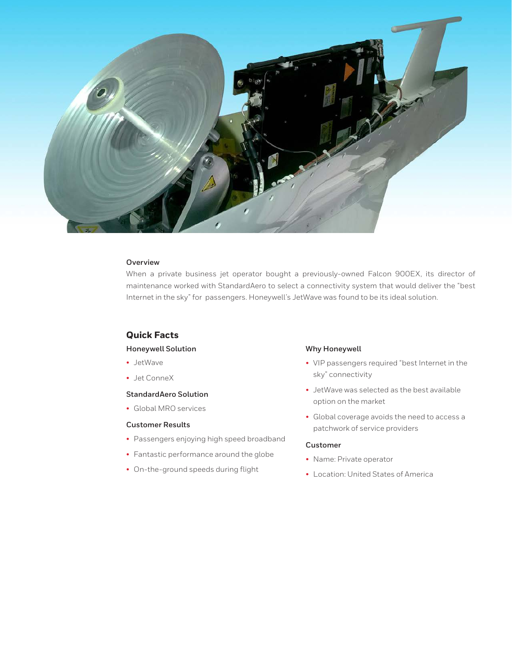

## **Overview**

When a private business jet operator bought a previously-owned Falcon 900EX, its director of maintenance worked with StandardAero to select a connectivity system that would deliver the "best Internet in the sky" for passengers. Honeywell's JetWave was found to be its ideal solution.

## **Quick Facts**

#### **Honeywell Solution**

- JetWave
- Jet ConneX

### **StandardAero Solution**

• Global MRO services

## **Customer Results**

- Passengers enjoying high speed broadband
- Fantastic performance around the globe
- On-the-ground speeds during flight

## **Why Honeywell**

- VIP passengers required "best Internet in the sky" connectivity
- JetWave was selected as the best available option on the market
- Global coverage avoids the need to access a patchwork of service providers

#### **Customer**

- Name: Private operator
- Location: United States of America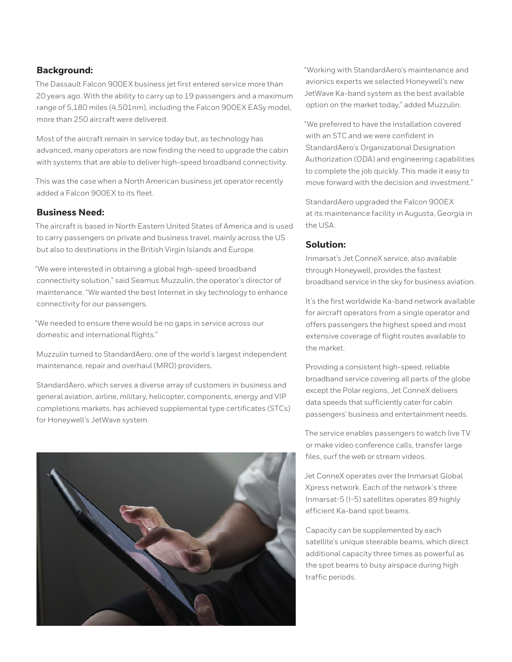## **Background:**

The Dassault Falcon 900EX business jet first entered service more than 20 years ago. With the ability to carry up to 19 passengers and a maximum range of 5,180 miles (4,501nm), including the Falcon 900EX EASy model, more than 250 aircraft were delivered.

Most of the aircraft remain in service today but, as technology has advanced, many operators are now finding the need to upgrade the cabin with systems that are able to deliver high-speed broadband connectivity.

This was the case when a North American business jet operator recently added a Falcon 900EX to its fleet.

## **Business Need:**

The aircraft is based in North Eastern United States of America and is used to carry passengers on private and business travel, mainly across the US but also to destinations in the British Virgin Islands and Europe.

"We were interested in obtaining a global high-speed broadband connectivity solution," said Seamus Muzzulin, the operator's director of maintenance. "We wanted the best Internet in sky technology to enhance connectivity for our passengers.

"We needed to ensure there would be no gaps in service across our domestic and international flights."

Muzzulin turned to StandardAero, one of the world's largest independent maintenance, repair and overhaul (MRO) providers.

StandardAero, which serves a diverse array of customers in business and general aviation, airline, military, helicopter, components, energy and VIP completions markets, has achieved supplemental type certificates (STCs) for Honeywell's JetWave system.



"Working with StandardAero's maintenance and avionics experts we selected Honeywell's new JetWave Ka-band system as the best available option on the market today," added Muzzulin.

"We preferred to have the installation covered with an STC and we were confident in StandardAero's Organizational Designation Authorization (ODA) and engineering capabilities to complete the job quickly. This made it easy to move forward with the decision and investment."

StandardAero upgraded the Falcon 900EX at its maintenance facility in Augusta, Georgia in the USA.

## **Solution:**

Inmarsat's Jet ConneX service, also available through Honeywell, provides the fastest broadband service in the sky for business aviation.

It's the first worldwide Ka-band network available for aircraft operators from a single operator and offers passengers the highest speed and most extensive coverage of flight routes available to the market.

Providing a consistent high-speed, reliable broadband service covering all parts of the globe except the Polar regions, Jet ConneX delivers data speeds that sufficiently cater for cabin passengers' business and entertainment needs.

The service enables passengers to watch live TV or make video conference calls, transfer large files, surf the web or stream videos.

Jet ConneX operates over the Inmarsat Global Xpress network. Each of the network's three Inmarsat-5 (I-5) satellites operates 89 highly efficient Ka-band spot beams.

Capacity can be supplemented by each satellite's unique steerable beams, which direct additional capacity three times as powerful as the spot beams to busy airspace during high traffic periods.